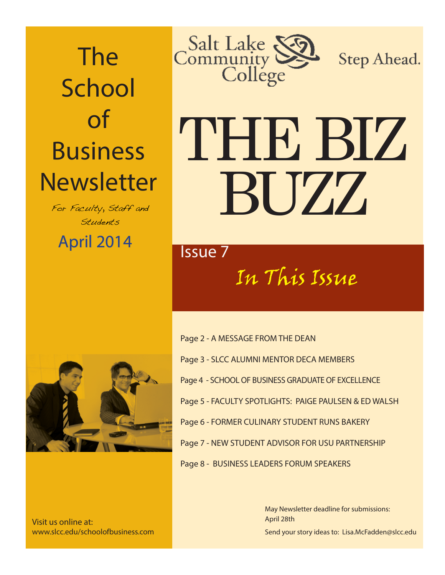The **School** of Business **Newsletter** 

For Faculty, Staff and Students

April 2014 **April 2014** 



Step Ahead.

# THE BIZ BUZZ

In This Issue



Visit us online at: www.slcc.edu/schoolofbusiness.com Page 2 - A MESSAGE FROM THE DEAN Page 3 - SLCC ALUMNI MENTOR DECA MEMBERS Page 4 - SCHOOL OF BUSINESS GRADUATE OF EXCELLENCE Page 5 - FACULTY SPOTLIGHTS: PAIGE PAULSEN & ED WALSH Page 6 - FORMER CULINARY STUDENT RUNS BAKERY Page 7 - NEW STUDENT ADVISOR FOR USU PARTNERSHIP Page 8 - BUSINESS LEADERS FORUM SPEAKERS

> Send your story ideas to: Lisa.McFadden@slcc.edu May Newsletter deadline for submissions: April 28th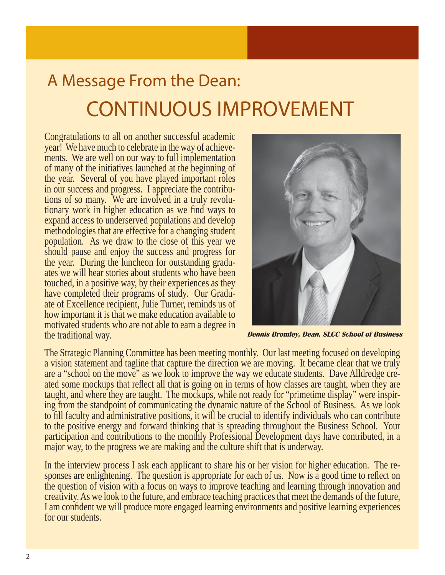## A Message From the Dean: CONTINUOUS IMPROVEMENT

Congratulations to all on another successful academic year! We have much to celebrate in the way of achievements. We are well on our way to full implementation of many of the initiatives launched at the beginning of the year. Several of you have played important roles in our success and progress. I appreciate the contributions of so many. We are involved in a truly revolutionary work in higher education as we find ways to expand access to underserved populations and develop methodologies that are effective for a changing student population. As we draw to the close of this year we should pause and enjoy the success and progress for the year. During the luncheon for outstanding graduates we will hear stories about students who have been touched, in a positive way, by their experiences as they have completed their programs of study. Our Graduate of Excellence recipient, Julie Turner, reminds us of how important it is that we make education available to motivated students who are not able to earn a degree in the traditional way.



**Dennis Bromley, Dean, SLCC School of Business**

The Strategic Planning Committee has been meeting monthly. Our last meeting focused on developing a vision statement and tagline that capture the direction we are moving. It became clear that we truly are a "school on the move" as we look to improve the way we educate students. Dave Alldredge created some mockups that reflect all that is going on in terms of how classes are taught, when they are taught, and where they are taught. The mockups, while not ready for "primetime display" were inspiring from the standpoint of communicating the dynamic nature of the School of Business. As we look to fill faculty and administrative positions, it will be crucial to identify individuals who can contribute to the positive energy and forward thinking that is spreading throughout the Business School. Your participation and contributions to the monthly Professional Development days have contributed, in a major way, to the progress we are making and the culture shift that is underway.

In the interview process I ask each applicant to share his or her vision for higher education. The responses are enlightening. The question is appropriate for each of us. Now is a good time to reflect on the question of vision with a focus on ways to improve teaching and learning through innovation and creativity. As we look to the future, and embrace teaching practices that meet the demands of the future, I am confident we will produce more engaged learning environments and positive learning experiences for our students.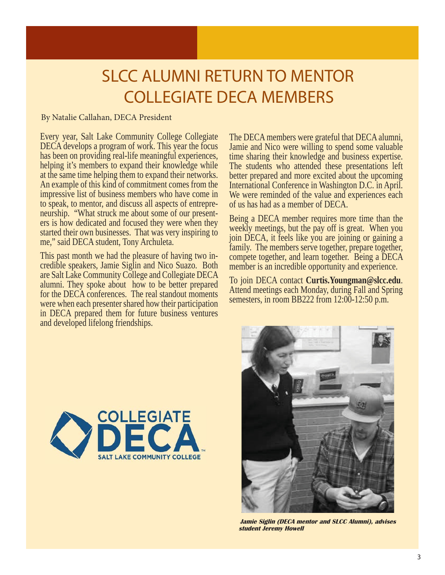## SLCC ALUMNI RETURN TO MENTOR COLLEGIATE DECA MEMBERS

#### By Natalie Callahan, DECA President

Every year, Salt Lake Community College Collegiate DECA develops a program of work. This year the focus has been on providing real-life meaningful experiences, helping it's members to expand their knowledge while at the same time helping them to expand their networks. An example of this kind of commitment comes from the impressive list of business members who have come in to speak, to mentor, and discuss all aspects of entrepreneurship. "What struck me about some of our presenters is how dedicated and focused they were when they started their own businesses. That was very inspiring to me," said DECA student, Tony Archuleta.

This past month we had the pleasure of having two incredible speakers, Jamie Siglin and Nico Suazo. Both are Salt Lake Community College and Collegiate DECA alumni. They spoke about how to be better prepared for the DECA conferences. The real standout moments were when each presenter shared how their participation in DECA prepared them for future business ventures and developed lifelong friendships.

The DECA members were grateful that DECA alumni, Jamie and Nico were willing to spend some valuable time sharing their knowledge and business expertise. The students who attended these presentations left better prepared and more excited about the upcoming International Conference in Washington D.C. in April. We were reminded of the value and experiences each of us has had as a member of DECA.

Being a DECA member requires more time than the weekly meetings, but the pay off is great. When you join DECA, it feels like you are joining or gaining a family. The members serve together, prepare together, compete together, and learn together. Being a DECA member is an incredible opportunity and experience.

To join DECA contact **Curtis.Youngman@slcc.edu**. Attend meetings each Monday, during Fall and Spring semesters, in room BB222 from 12:00-12:50 p.m.



 **Jamie Siglin (DECA mentor and SLCC Alumni), advises student Jeremy Howell**

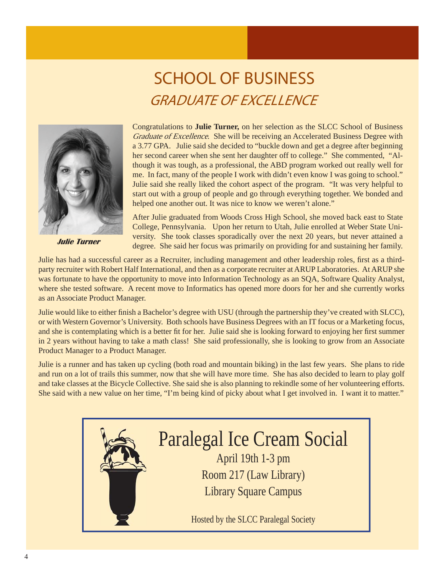## SCHOOL OF BUSINESS **GRADUATE OF EXCELLENCE**



Congratulations to **Julie Turner,** on her selection as the SLCC School of Business Graduate of Excellence. She will be receiving an Accelerated Business Degree with a 3.77 GPA. Julie said she decided to "buckle down and get a degree after beginning her second career when she sent her daughter off to college." She commented, "Although it was tough, as a professional, the ABD program worked out really well for me. In fact, many of the people I work with didn't even know I was going to school." Julie said she really liked the cohort aspect of the program. "It was very helpful to start out with a group of people and go through everything together. We bonded and helped one another out. It was nice to know we weren't alone."

After Julie graduated from Woods Cross High School, she moved back east to State College, Pennsylvania. Upon her return to Utah, Julie enrolled at Weber State University. She took classes sporadically over the next 20 years, but never attained a **dulie Turner** degree. She said her focus was primarily on providing for and sustaining her family.

Julie has had a successful career as a Recruiter, including management and other leadership roles, first as a thirdparty recruiter with Robert Half International, and then as a corporate recruiter at ARUP Laboratories. At ARUP she was fortunate to have the opportunity to move into Information Technology as an SQA, Software Quality Analyst, where she tested software. A recent move to Informatics has opened more doors for her and she currently works as an Associate Product Manager.

Julie would like to either finish a Bachelor's degree with USU (through the partnership they've created with SLCC), or with Western Governor's University. Both schools have Business Degrees with an IT focus or a Marketing focus, and she is contemplating which is a better fit for her. Julie said she is looking forward to enjoying her first summer in 2 years without having to take a math class! She said professionally, she is looking to grow from an Associate Product Manager to a Product Manager.

Julie is a runner and has taken up cycling (both road and mountain biking) in the last few years. She plans to ride and run on a lot of trails this summer, now that she will have more time. She has also decided to learn to play golf and take classes at the Bicycle Collective. She said she is also planning to rekindle some of her volunteering efforts. She said with a new value on her time, "I'm being kind of picky about what I get involved in. I want it to matter."



## Paralegal Ice Cream Social

April 19th 1-3 pm Room 217 (Law Library) Library Square Campus

Hosted by the SLCC Paralegal Society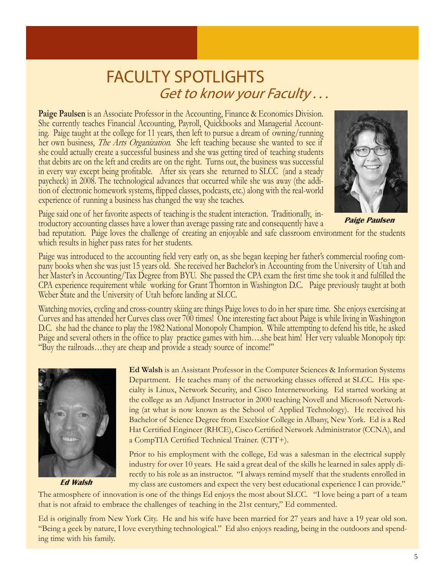#### FACULTY SPOTLIGHTS Get to know your Faculty ...

Paige Paulsen is an Associate Professor in the Accounting, Finance & Economics Division. She currently teaches Financial Accounting, Payroll, Quickbooks and Managerial Accounting. Paige taught at the college for 11 years, then left to pursue a dream of owning/running her own business, *The Arts Organization*. She left teaching because she wanted to see if she could actually create a successful business and she was getting tired of teaching students that debits are on the left and credits are on the right. Turns out, the business was successful in every way except being profi table. After six years she returned to SLCC (and a steady paycheck) in 2008. The technological advances that occurred while she was away (the addition of electronic homework systems, flipped classes, podcasts, etc.) along with the real-world experience of running a business has changed the way she teaches.



Paige said one of her favorite aspects of teaching is the student interaction. Traditionally, introductory accounting classes have a lower than average passing rate and consequently have a

 **Paige Paulsen**

bad reputation. Paige loves the challenge of creating an enjoyable and safe classroom environment for the students which results in higher pass rates for her students.

Paige was introduced to the accounting field very early on, as she began keeping her father's commercial roofing company books when she was just 15 years old. She received her Bachelor's in Accounting from the University of Utah and her Master's in Accounting/Tax Degree from BYU. She passed the CPA exam the first time she took it and fulfilled the CPA experience requirement while working for Grant Thornton in Washington D.C. Paige previously taught at both Weber State and the University of Utah before landing at SLCC.

Watching movies, cycling and cross-country skiing are things Paige loves to do in her spare time. She enjoys exercising at Curves and has attended her Curves class over 700 times! One interesting fact about Paige is while living in Washington D.C. she had the chance to play the 1982 National Monopoly Champion. While attempting to defend his title, he asked Paige and several others in the office to play practice games with him…she beat him! Her very valuable Monopoly tip: "Buy the railroads…they are cheap and provide a steady source of income!"



 **Ed Walsh** 

**Ed Walsh** is an Assistant Professor in the Computer Sciences & Information Systems Department. He teaches many of the networking classes offered at SLCC. His specialty is Linux, Network Security, and Cisco Internetworking. Ed started working at the college as an Adjunct Instructor in 2000 teaching Novell and Microsoft Networking (at what is now known as the School of Applied Technology). He received his Bachelor of Science Degree from Excelsior College in Albany, New York. Ed is a Red Hat Certified Engineer (RHCE), Cisco Certified Network Administrator (CCNA), and a CompTIA Certified Technical Trainer. (CTT+).

Prior to his employment with the college, Ed was a salesman in the electrical supply industry for over 10 years. He said a great deal of the skills he learned in sales apply directly to his role as an instructor. "I always remind myself that the students enrolled in my class are customers and expect the very best educational experience I can provide."

The atmosphere of innovation is one of the things Ed enjoys the most about SLCC. "I love being a part of a team that is not afraid to embrace the challenges of teaching in the 21st century," Ed commented.

Ed is originally from New York City. He and his wife have been married for 27 years and have a 19 year old son. "Being a geek by nature, I love everything technological." Ed also enjoys reading, being in the outdoors and spending time with his family.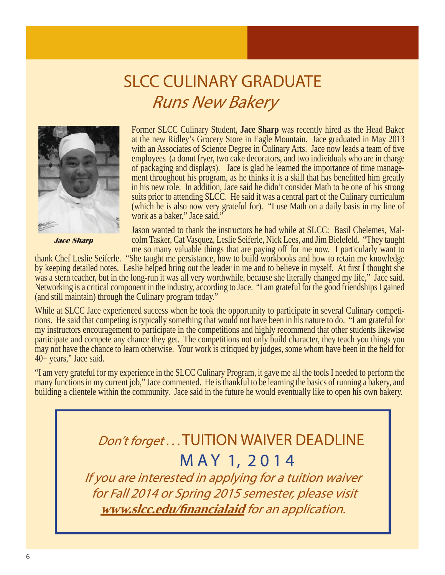## SLCC CULINARY GRADUATE Runs New Bakery



 **Jace Sharp** 

I

Former SLCC Culinary Student, **Jace Sharp** was recently hired as the Head Baker at the new Ridley's Grocery Store in Eagle Mountain. Jace graduated in May 2013 with an Associates of Science Degree in Culinary Arts. Jace now leads a team of five employees (a donut fryer, two cake decorators, and two individuals who are in charge of packaging and displays). Jace is glad he learned the importance of time management throughout his program, as he thinks it is a skill that has benefitted him greatly in his new role. In addition, Jace said he didn't consider Math to be one of his strong suits prior to attending SLCC. He said it was a central part of the Culinary curriculum (which he is also now very grateful for). "I use Math on a daily basis in my line of work as a baker," Jace said."

Jason wanted to thank the instructors he had while at SLCC: Basil Chelemes, Malcolm Tasker, Cat Vasquez, Leslie Seiferle, Nick Lees, and Jim Bielefeld. "They taught me so many valuable things that are paying off for me now. I particularly want to

thank Chef Leslie Seiferle. "She taught me persistance, how to build workbooks and how to retain my knowledge by keeping detailed notes. Leslie helped bring out the leader in me and to believe in myself. At first I thought she was a stern teacher, but in the long-run it was all very worthwhile, because she literally changed my life," Jace said. Networking is a critical component in the industry, according to Jace. "I am grateful for the good friendships I gained (and still maintain) through the Culinary program today."

While at SLCC Jace experienced success when he took the opportunity to participate in several Culinary competitions. He said that competing is typically something that would not have been in his nature to do. "I am grateful for my instructors encouragement to participate in the competitions and highly recommend that other students likewise participate and compete any chance they get. The competitions not only build character, they teach you things you may not have the chance to learn otherwise. Your work is critiqued by judges, some whom have been in the field for 40+ years," Jace said.

"I am very grateful for my experience in the SLCC Culinary Program, it gave me all the tools I needed to perform the many functions in my current job," Jace commented. He is thankful to be learning the basics of running a bakery, and building a clientele within the community. Jace said in the future he would eventually like to open his own bakery.

#### Don't forget... TUITION WAIVER DEADLINE M A Y 1, 2014

If you are interested in applying for a tuition waiver for Fall 2014 or Spring 2015 semester, please visit **www.slcc.edu/fi nancialaid** for an application.

l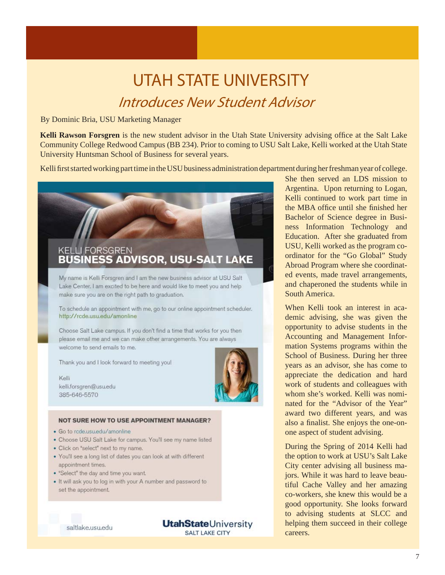#### UTAH STATE UNIVERSITY Introduces New Student Advisor

#### By Dominic Bria, USU Marketing Manager

**Kelli Rawson Forsgren** is the new student advisor in the Utah State University advising office at the Salt Lake Community College Redwood Campus (BB 234). Prior to coming to USU Salt Lake, Kelli worked at the Utah State University Huntsman School of Business for several years.

Kelli first started working part time in the USU business administration department during her freshman year of college.

#### **KELLI FORSGREN S ADVISOR, USU-SALT LAKE**

My name is Kelli Forsgren and I am the new business advisor at USU Salt Lake Center. I am excited to be here and would like to meet you and help make sure you are on the right path to graduation.

To schedule an appointment with me, go to our online appointment scheduler. http://rcde.usu.edu/amonline

Choose Salt Lake campus. If you don't find a time that works for you then please email me and we can make other arrangements. You are always welcome to send emails to me.

Thank you and I look forward to meeting you!

Kelli kelli.forsgren@usu.edu 385-646-5570



#### **NOT SURE HOW TO USE APPOINTMENT MANAGER?**

- · Go to rcde.usu.edu/amonline
- · Choose USU Salt Lake for campus. You'll see my name listed
- Click on "select" next to my name.
- . You'll see a long list of dates you can look at with different appointment times.
- "Select" the day and time you want.
- . It will ask you to log in with your A number and password to set the appointment.

saltlake.usu.edu

**UtahState**University

SALT LAKE CITY

She then served an LDS mission to Argentina. Upon returning to Logan, Kelli continued to work part time in the MBA office until she finished her Bachelor of Science degree in Business Information Technology and Education. After she graduated from USU, Kelli worked as the program coordinator for the "Go Global" Study Abroad Program where she coordinated events, made travel arrangements, and chaperoned the students while in South America.

When Kelli took an interest in academic advising, she was given the opportunity to advise students in the Accounting and Management Information Systems programs within the School of Business. During her three years as an advisor, she has come to appreciate the dedication and hard work of students and colleagues with whom she's worked. Kelli was nominated for the "Advisor of the Year" award two different years, and was also a finalist. She enjoys the one-onone aspect of student advising.

During the Spring of 2014 Kelli had the option to work at USU's Salt Lake City center advising all business majors. While it was hard to leave beautiful Cache Valley and her amazing co-workers, she knew this would be a good opportunity. She looks forward to advising students at SLCC and helping them succeed in their college careers.